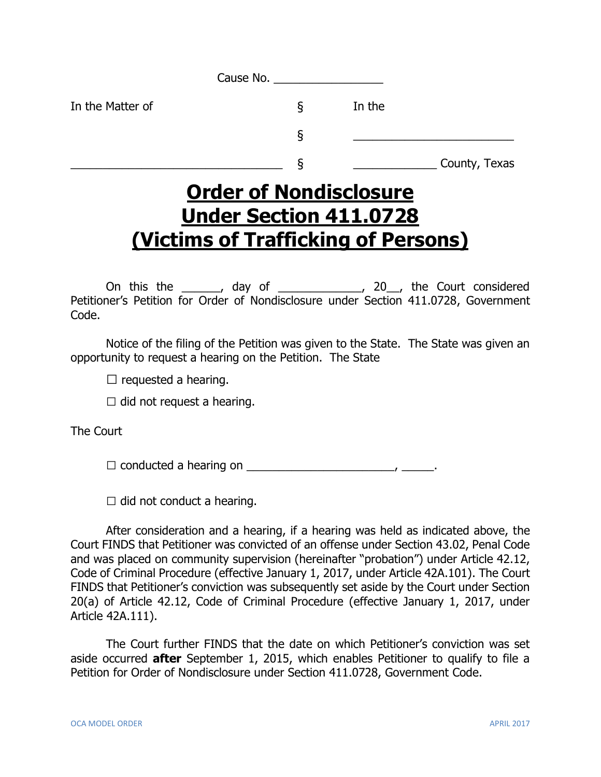|                  | Cause No. |               |  |
|------------------|-----------|---------------|--|
| In the Matter of | ১         | In the        |  |
|                  | ξ         |               |  |
|                  | O         | County, Texas |  |

## **Order of Nondisclosure Under Section 411.0728 (Victims of Trafficking of Persons)**

On this the \_\_\_\_\_\_, day of \_\_\_\_\_\_\_\_\_\_\_\_\_, 20\_\_, the Court considered Petitioner's Petition for Order of Nondisclosure under Section 411.0728, Government Code.

Notice of the filing of the Petition was given to the State. The State was given an opportunity to request a hearing on the Petition. The State

 $\square$  requested a hearing.

 $\Box$  did not request a hearing.

The Court

□ conducted a hearing on \_\_\_\_\_\_\_\_\_\_\_\_\_\_\_\_\_\_\_\_\_\_\_, \_\_\_\_\_.

 $\Box$  did not conduct a hearing.

After consideration and a hearing, if a hearing was held as indicated above, the Court FINDS that Petitioner was convicted of an offense under Section 43.02, Penal Code and was placed on community supervision (hereinafter "probation") under Article 42.12, Code of Criminal Procedure (effective January 1, 2017, under Article 42A.101). The Court FINDS that Petitioner's conviction was subsequently set aside by the Court under Section 20(a) of Article 42.12, Code of Criminal Procedure (effective January 1, 2017, under Article 42A.111).

The Court further FINDS that the date on which Petitioner's conviction was set aside occurred **after** September 1, 2015, which enables Petitioner to qualify to file a Petition for Order of Nondisclosure under Section 411.0728, Government Code.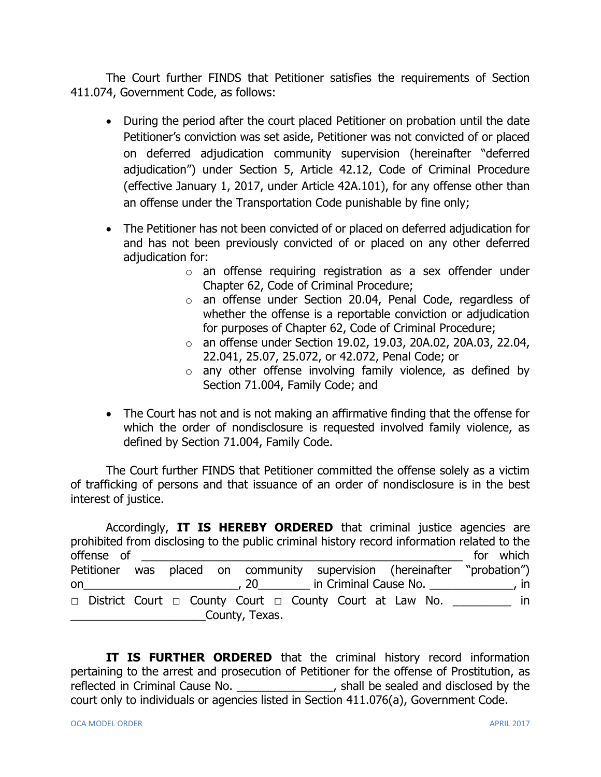The Court further FINDS that Petitioner satisfies the requirements of Section 411.074, Government Code, as follows:

- During the period after the court placed Petitioner on probation until the date Petitioner's conviction was set aside, Petitioner was not convicted of or placed on deferred adjudication community supervision (hereinafter "deferred adjudication") under Section 5, Article 42.12, Code of Criminal Procedure (effective January 1, 2017, under Article 42A.101), for any offense other than an offense under the Transportation Code punishable by fine only;
- The Petitioner has not been convicted of or placed on deferred adjudication for and has not been previously convicted of or placed on any other deferred adjudication for:
	- o an offense requiring registration as a sex offender under Chapter 62, Code of Criminal Procedure;
	- o an offense under Section 20.04, Penal Code, regardless of whether the offense is a reportable conviction or adjudication for purposes of Chapter 62, Code of Criminal Procedure;
	- o an offense under Section 19.02, 19.03, 20A.02, 20A.03, 22.04, 22.041, 25.07, 25.072, or 42.072, Penal Code; or
	- o any other offense involving family violence, as defined by Section 71.004, Family Code; and
- The Court has not and is not making an affirmative finding that the offense for which the order of nondisclosure is requested involved family violence, as defined by Section 71.004, Family Code.

The Court further FINDS that Petitioner committed the offense solely as a victim of trafficking of persons and that issuance of an order of nondisclosure is in the best interest of justice.

Accordingly, **IT IS HEREBY ORDERED** that criminal justice agencies are prohibited from disclosing to the public criminal history record information related to the offense of  $\Box$ Petitioner was placed on community supervision (hereinafter "probation") on\_\_\_\_\_\_\_\_\_\_\_\_\_\_\_\_\_\_\_\_\_\_\_\_, 20\_\_\_\_\_\_\_\_ in Criminal Cause No. \_\_\_\_\_\_\_\_\_\_\_\_\_, in **□** District Court **□** County Court **□** County Court at Law No. \_\_\_\_\_\_\_\_\_ in \_\_\_\_\_\_\_\_\_\_\_\_\_\_\_\_\_\_\_\_\_County, Texas.

**IT IS FURTHER ORDERED** that the criminal history record information pertaining to the arrest and prosecution of Petitioner for the offense of Prostitution, as reflected in Criminal Cause No. \_\_\_\_\_\_\_\_\_\_\_\_\_\_\_, shall be sealed and disclosed by the court only to individuals or agencies listed in Section 411.076(a), Government Code.